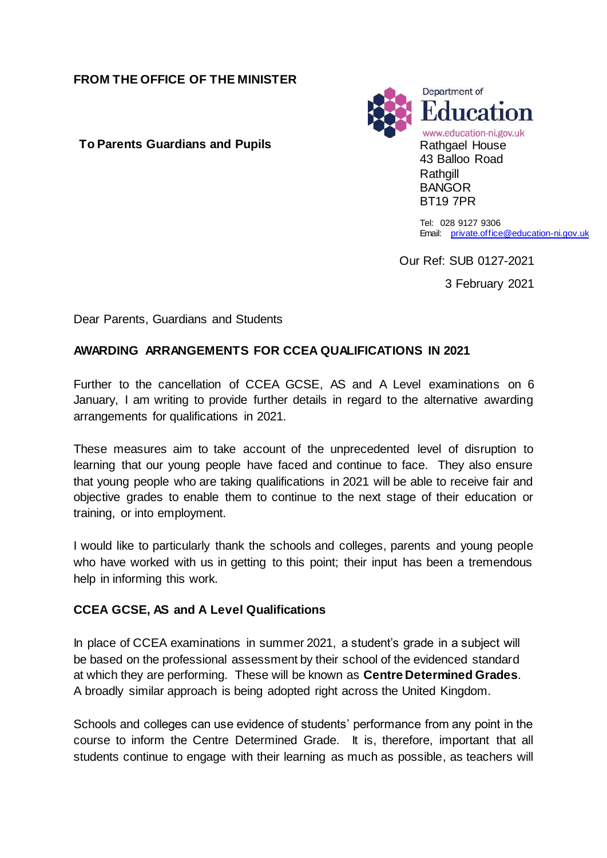### **FROM THE OFFICE OF THE MINISTER**

**To Parents Guardians and Pupils Rathgael House** 



Tel: 028 9127 9306 Email: [private.office@education-ni.gov.uk](mailto:private.office@education-ni.gov.uk)

Our Ref: SUB 0127-2021

3 February 2021

Dear Parents, Guardians and Students

### **AWARDING ARRANGEMENTS FOR CCEA QUALIFICATIONS IN 2021**

Further to the cancellation of CCEA GCSE, AS and A Level examinations on 6 January, I am writing to provide further details in regard to the alternative awarding arrangements for qualifications in 2021.

These measures aim to take account of the unprecedented level of disruption to learning that our young people have faced and continue to face. They also ensure that young people who are taking qualifications in 2021 will be able to receive fair and objective grades to enable them to continue to the next stage of their education or training, or into employment.

I would like to particularly thank the schools and colleges, parents and young people who have worked with us in getting to this point; their input has been a tremendous help in informing this work.

## **CCEA GCSE, AS and A Level Qualifications**

In place of CCEA examinations in summer 2021, a student's grade in a subject will be based on the professional assessment by their school of the evidenced standard at which they are performing. These will be known as **Centre Determined Grades**. A broadly similar approach is being adopted right across the United Kingdom.

Schools and colleges can use evidence of students' performance from any point in the course to inform the Centre Determined Grade. It is, therefore, important that all students continue to engage with their learning as much as possible, as teachers will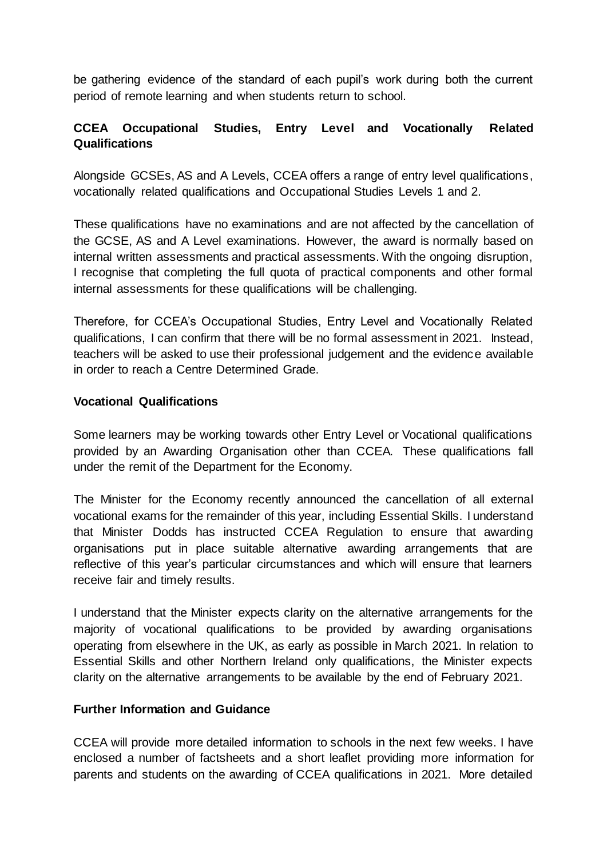be gathering evidence of the standard of each pupil's work during both the current period of remote learning and when students return to school.

# **CCEA Occupational Studies, Entry Level and Vocationally Related Qualifications**

Alongside GCSEs, AS and A Levels, CCEA offers a range of entry level qualifications, vocationally related qualifications and Occupational Studies Levels 1 and 2.

These qualifications have no examinations and are not affected by the cancellation of the GCSE, AS and A Level examinations. However, the award is normally based on internal written assessments and practical assessments. With the ongoing disruption, I recognise that completing the full quota of practical components and other formal internal assessments for these qualifications will be challenging.

Therefore, for CCEA's Occupational Studies, Entry Level and Vocationally Related qualifications, I can confirm that there will be no formal assessment in 2021. Instead, teachers will be asked to use their professional judgement and the evidence available in order to reach a Centre Determined Grade.

### **Vocational Qualifications**

Some learners may be working towards other Entry Level or Vocational qualifications provided by an Awarding Organisation other than CCEA. These qualifications fall under the remit of the Department for the Economy.

The Minister for the Economy recently announced the cancellation of all external vocational exams for the remainder of this year, including Essential Skills. I understand that Minister Dodds has instructed CCEA Regulation to ensure that awarding organisations put in place suitable alternative awarding arrangements that are reflective of this year's particular circumstances and which will ensure that learners receive fair and timely results.

I understand that the Minister expects clarity on the alternative arrangements for the majority of vocational qualifications to be provided by awarding organisations operating from elsewhere in the UK, as early as possible in March 2021. In relation to Essential Skills and other Northern Ireland only qualifications, the Minister expects clarity on the alternative arrangements to be available by the end of February 2021.

#### **Further Information and Guidance**

CCEA will provide more detailed information to schools in the next few weeks. I have enclosed a number of factsheets and a short leaflet providing more information for parents and students on the awarding of CCEA qualifications in 2021. More detailed